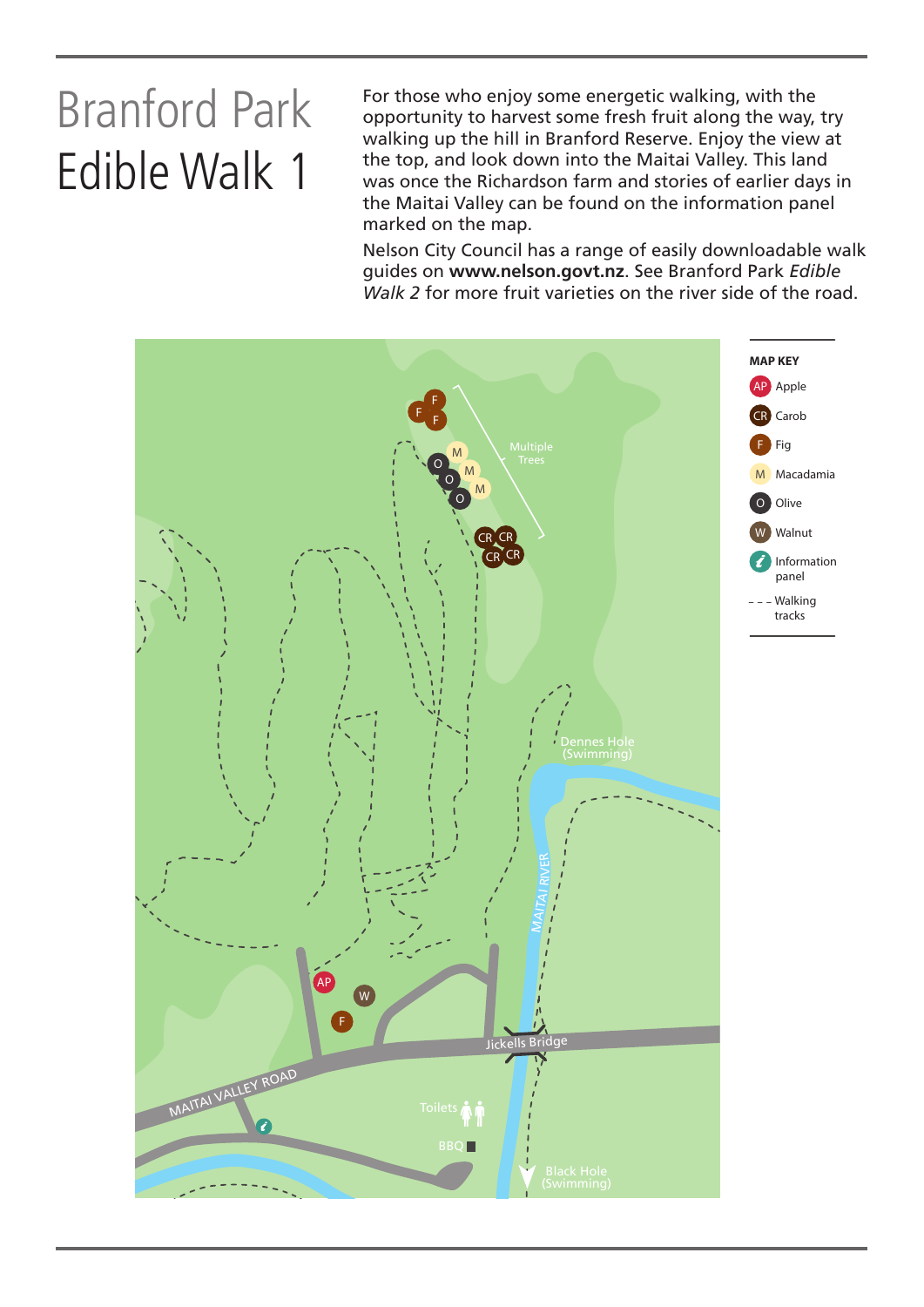## Branford Park Edible Walk 1

For those who enjoy some energetic walking, with the opportunity to harvest some fresh fruit along the way, try walking up the hill in Branford Reserve. Enjoy the view at the top, and look down into the Maitai Valley. This land was once the Richardson farm and stories of earlier days in the Maitai Valley can be found on the information panel marked on the map.

Nelson City Council has a range of easily downloadable walk guides on **www.nelson.govt.nz**. See Branford Park *Edible Walk 2* for more fruit varieties on the river side of the road.